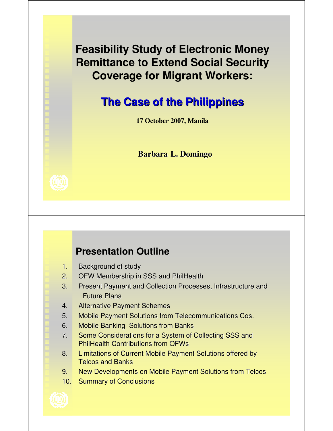**Feasibility Study of Electronic Money Remittance to Extend Social Security Coverage for Migrant Workers:** 

# **The Case of the Philippines**

**17 October 2007, Manila**

### **Barbara L. Domingo**



## **Presentation Outline**

- 1. Background of study
- 2. OFW Membership in SSS and PhilHealth
- 3. Present Payment and Collection Processes, Infrastructure and Future Plans
- 4. Alternative Payment Schemes
- 5. Mobile Payment Solutions from Telecommunications Cos.
- 6. Mobile Banking Solutions from Banks
- 7. Some Considerations for a System of Collecting SSS and PhilHealth Contributions from OFWs
- 8. Limitations of Current Mobile Payment Solutions offered by Telcos and Banks
- 9. New Developments on Mobile Payment Solutions from Telcos
- 10. Summary of Conclusions

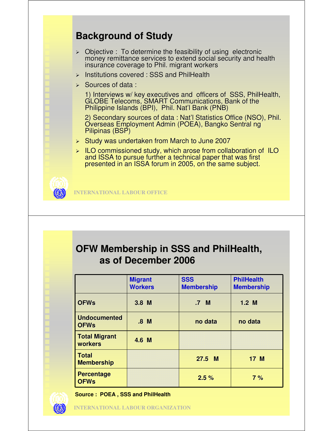## **Background of Study**

- $\triangleright$  Objective : To determine the feasibility of using electronic money remittance services to extend social security and health insurance coverage to Phil. migrant workers
- $\triangleright$  Institutions covered : SSS and PhilHealth
- $\triangleright$  Sources of data :

1) Interviews w/ key executives and officers of SSS, PhilHealth, GLOBE Telecoms, SMART Communications, Bank of the Philippine Islands (BPI), Phil. Nat'l Bank (PNB)

2) Secondary sources of data : Nat'l Statistics Office (NSO), Phil. Overseas Employment Admin (POEA), Bangko Sentral ng Pilipinas (BSP)

- $\triangleright$  Study was undertaken from March to June 2007
- $\triangleright$  ILO commissioned study, which arose from collaboration of ILO and ISSA to pursue further a technical paper that was first presented in an ISSA forum in 2005, on the same subject.

**INTERNATIONAL LABOUR OFFICE**

### **OFW Membership in SSS and PhilHealth, as of December 2006**

|                                    | <b>Migrant</b><br><b>Workers</b> | <b>SSS</b><br><b>Membership</b> | <b>PhilHealth</b><br><b>Membership</b> |
|------------------------------------|----------------------------------|---------------------------------|----------------------------------------|
| <b>OFWs</b>                        | $3.8$ M                          | .7 <sub>M</sub>                 | $1.2$ M                                |
| <b>Undocumented</b><br><b>OFWs</b> | .8 <sub>M</sub>                  | no data                         | no data                                |
| <b>Total Migrant</b><br>workers    | 4.6 M                            |                                 |                                        |
| <b>Total</b><br><b>Membership</b>  |                                  | $27.5$ M                        | 17 M                                   |
| <b>Percentage</b><br><b>OFWs</b>   |                                  | 2.5%                            | 7%                                     |

**Source : POEA , SSS and PhilHealth**

**INTERNATIONAL LABOUR ORGANIZATION**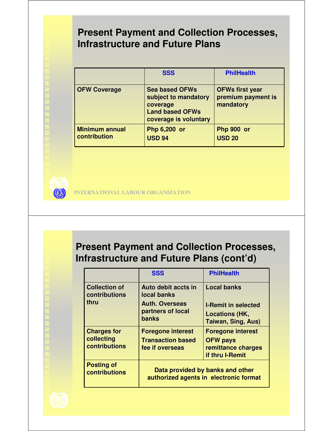### **Present Payment and Collection Processes, Infrastructure and Future Plans**

|                                       | <b>SSS</b>                                                                                                   | <b>PhilHealth</b>                                         |
|---------------------------------------|--------------------------------------------------------------------------------------------------------------|-----------------------------------------------------------|
| <b>OFW Coverage</b>                   | <b>Sea based OFWs</b><br>subject to mandatory<br>coverage<br><b>Land based OFWs</b><br>coverage is voluntary | <b>OFWs first year</b><br>premium payment is<br>mandatory |
| <b>Minimum annual</b><br>contribution | Php 6,200 or<br><b>USD 94</b>                                                                                | Php 900 or<br><b>USD 20</b>                               |



**INTERNATIONAL LABOUR ORGANIZATION**

## **Present Payment and Collection Processes, Infrastructure and Future Plans (cont'd)**

|                                                   | <b>SSS</b>                                                                 | <b>PhilHealth</b>                                                                    |
|---------------------------------------------------|----------------------------------------------------------------------------|--------------------------------------------------------------------------------------|
| <b>Collection of</b><br>contributions             | Auto debit accts in<br>local banks                                         | <b>Local banks</b>                                                                   |
| thru                                              | <b>Auth. Overseas</b><br>partners of local<br><b>banks</b>                 | <b>I-Remit in selected</b><br><b>Locations (HK,</b><br>Taiwan, Sing, Aus)            |
| <b>Charges for</b><br>collecting<br>contributions | <b>Foregone interest</b><br><b>Transaction based</b><br>fee if overseas    | <b>Foregone interest</b><br><b>OFW pays</b><br>remittance charges<br>if thru I-Remit |
| <b>Posting of</b><br>contributions                | Data provided by banks and other<br>authorized agents in electronic format |                                                                                      |

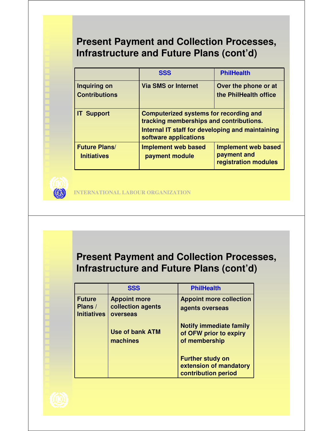## **Present Payment and Collection Processes, Infrastructure and Future Plans (cont'd)**

|                                            | <b>SSS</b>                                                                               | <b>PhilHealth</b>                                                 |  |
|--------------------------------------------|------------------------------------------------------------------------------------------|-------------------------------------------------------------------|--|
| Inquiring on                               | <b>Via SMS or Internet</b>                                                               | Over the phone or at                                              |  |
| <b>Contributions</b>                       |                                                                                          | the PhilHealth office                                             |  |
| <b>IT Support</b>                          | <b>Computerized systems for recording and</b><br>tracking memberships and contributions. |                                                                   |  |
|                                            | Internal IT staff for developing and maintaining<br>software applications                |                                                                   |  |
| <b>Future Plans/</b><br><b>Initiatives</b> | <b>Implement web based</b><br>payment module                                             | <b>Implement web based</b><br>payment and<br>registration modules |  |



**INTERNATIONAL LABOUR ORGANIZATION**

### **Present Payment and Collection Processes, Infrastructure and Future Plans (cont'd)**

|                                                | <b>SSS</b>                                           | <b>PhilHealth</b>                                                         |
|------------------------------------------------|------------------------------------------------------|---------------------------------------------------------------------------|
| <b>Future</b><br>Plans /<br><b>Initiatives</b> | <b>Appoint more</b><br>collection agents<br>overseas | <b>Appoint more collection</b><br>agents overseas                         |
|                                                | <b>Use of bank ATM</b><br>machines                   | <b>Notify immediate family</b><br>of OFW prior to expiry<br>of membership |
|                                                |                                                      | <b>Further study on</b><br>extension of mandatory<br>contribution period  |

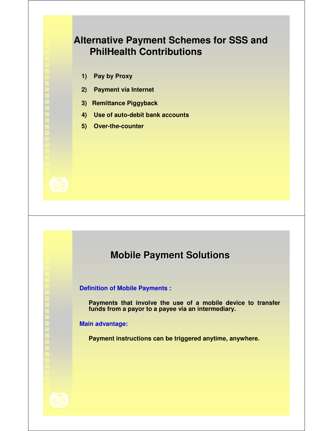### **Alternative Payment Schemes for SSS and PhilHealth Contributions**

- **1) Pay by Proxy**
- **2) Payment via Internet**
- **3) Remittance Piggyback**
- **4) Use of auto-debit bank accounts**
- **5) Over-the-counter**



### **Mobile Payment Solutions**

**Definition of Mobile Payments :**

**Payments that involve the use of a mobile device to transfer funds from a payor to a payee via an intermediary.**

**Main advantage:** 

**Payment instructions can be triggered anytime, anywhere.** 

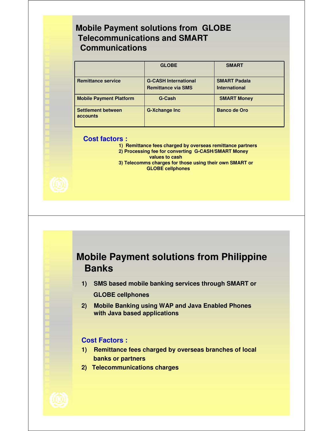### **Mobile Payment solutions from GLOBE Telecommunications and SMART Communications**

|                                       | <b>GLOBE</b>                                             | <b>SMART</b>                                |
|---------------------------------------|----------------------------------------------------------|---------------------------------------------|
| <b>Remittance service</b>             | <b>G-CASH International</b><br><b>Remittance via SMS</b> | <b>SMART Padala</b><br><b>International</b> |
| <b>Mobile Payment Platform</b>        | G-Cash                                                   | <b>SMART Money</b>                          |
| <b>Settlement between</b><br>accounts | <b>G-Xchange Inc</b>                                     | <b>Banco de Oro</b>                         |

#### **Cost factors :**

- **1) Remittance fees charged by overseas remittance partners**
- **2) Processing fee for converting G-CASH/SMART Money values to cash**
- **3) Telecomms charges for those using their own SMART or GLOBE cellphones**



### **Mobile Payment solutions from Philippine Banks**

- **1) SMS based mobile banking services through SMART or GLOBE cellphones**
- **2) Mobile Banking using WAP and Java Enabled Phones with Java based applications**

#### **Cost Factors :**

- **1) Remittance fees charged by overseas branches of local banks or partners**
- **2) Telecommunications charges**

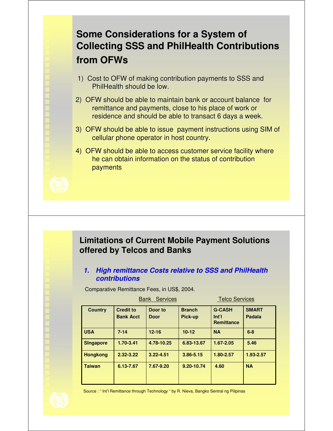# **Some Considerations for a System of Collecting SSS and PhilHealth Contributions from OFWs**

- 1) Cost to OFW of making contribution payments to SSS and PhilHealth should be low.
- 2) OFW should be able to maintain bank or account balance for remittance and payments, close to his place of work or residence and should be able to transact 6 days a week.
- 3) OFW should be able to issue payment instructions using SIM of cellular phone operator in host country.
- 4) OFW should be able to access customer service facility where he can obtain information on the status of contribution payments



### **Limitations of Current Mobile Payment Solutions offered by Telcos and Banks**

#### **1. High remittance Costs relative to SSS and PhilHealth contributions**

Comparative Remittance Fees, in US\$, 2004.

| <b>Telco Services</b><br><b>Services</b><br>Bank |                  |               |               |                                       |               |
|--------------------------------------------------|------------------|---------------|---------------|---------------------------------------|---------------|
| <b>Country</b>                                   | <b>Credit to</b> | Door to       | <b>Branch</b> | <b>G-CASH</b>                         | <b>SMART</b>  |
|                                                  | <b>Bank Acct</b> | <b>Door</b>   | Pick-up       | Int <sup>7</sup><br><b>Remittance</b> | <b>Padala</b> |
| <b>USA</b>                                       | $7 - 14$         | $12 - 16$     | $10 - 12$     | <b>NA</b>                             | $6-8$         |
| <b>Singapore</b>                                 | 1.70-3.41        | 4.78-10.25    | 6.83-13.67    | 1.67-2.05                             | 5.46          |
| <b>Hongkong</b>                                  | $2.32 - 3.22$    | $3.22 - 4.51$ | 3.86-5.15     | 1.80-2.57                             | 1.93-2.57     |
| <b>Taiwan</b>                                    | 6.13-7.67        | 7.67-9.20     | 9.20-10.74    | 4.60                                  | <b>NA</b>     |



Source : " Int'l Remittance through Technology " by R. Nieva, Bangko Sentral ng Pilipinas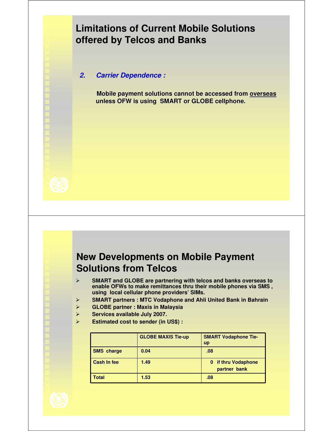## **Limitations of Current Mobile Solutions offered by Telcos and Banks**

**2. Carrier Dependence :**

**Mobile payment solutions cannot be accessed from overseas unless OFW is using SMART or GLOBE cellphone.**



### **New Developments on Mobile Payment Solutions from Telcos**

- **SMART and GLOBE are partnering with telcos and banks overseas to enable OFWs to make remittances thru their mobile phones via SMS , using local cellular phone providers' SIMs.**
- **SMART partners : MTC Vodaphone and Ahli United Bank in Bahrain**
- **GLOBE partner : Maxis in Malaysia**
- **Services available July 2007.**
- **Estimated cost to sender (in US\$) :**

|                    | <b>GLOBE MAXIS Tie-up</b> | <b>SMART Vodaphone Tie-</b><br><b>up</b> |
|--------------------|---------------------------|------------------------------------------|
| <b>SMS</b> charge  | 0.04                      | .08                                      |
| <b>Cash In fee</b> | 1.49                      | 0 if thru Vodaphone<br>partner bank      |
| Total              | 1.53                      | .08                                      |